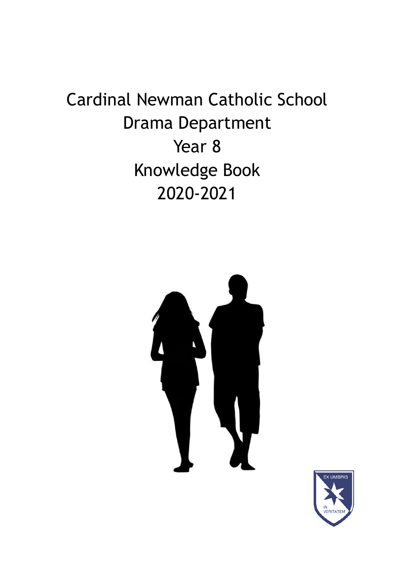## Cardinal Newman Catholic School Drama Department Year 8 Knowledge Book 2020-2021



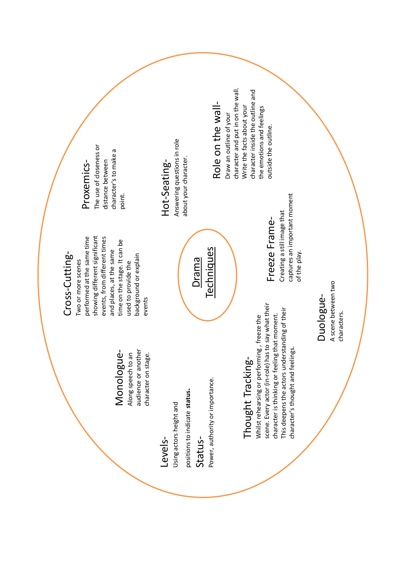#### audience or another audience or another Monologue-Monologue-Along speech to an Along speech to an

character on stage.

character on stage.

Levels-

positions to indicate status. positions to indicate **status**. Using actors height and Using actors height and StatusPower, authority or importance.

Power, authority or importance.

scene. Every actor (in-role) has to say what their scene. Every actor (in-role) has to say what their This deepens the actors understanding of their This deepens the actors understanding of their character is thinking or feeling that moment. Whilst rehearsing or performing, freeze the character is thinking or feeling that moment. Whilst rehearsing or performing , freeze the Thought Tracking-Thought Tracking-

Freeze Frame-Creating a still image that captures an important moment

of the play.

of the play.

captures an important moment Creating a still image that Freeze Frame-

character's thought and feelings.

character's thought and feelings.

A scene between two A scene between two Duologuecharacters. characters.

## Cross-Cutting-Cross-Cutting-

Proxemics-

Proxemics-

The use of closeness or distance between character's to make a

distance between

The use of closeness or

showing different significant performed at the same time performed at the same time events, from different times showing different significant events, from different times time on the stage. It can be time on the stage. It can be and places, at the same and places, at the same background or explain background or explain Two or more scenes Two or more scenes used to provide the used to provide the events

point.

character's to make a

# Hot-Seating-Hot-Seating-

Drama Techniques

**Techniques** 

Answering questions in role Answering questions in role about your character. about your character.

## Role on the wall-Role on the wall-

character and put in on the wall. character and put in on the wall. character inside the outline and character inside the outline and Write the facts about your Write the facts about your the emotions and feelings the emotions and feelings Draw an outline of your Draw an outline of your outside the outline. outside the outline.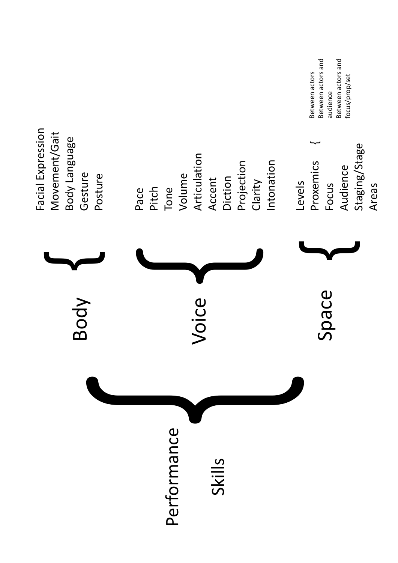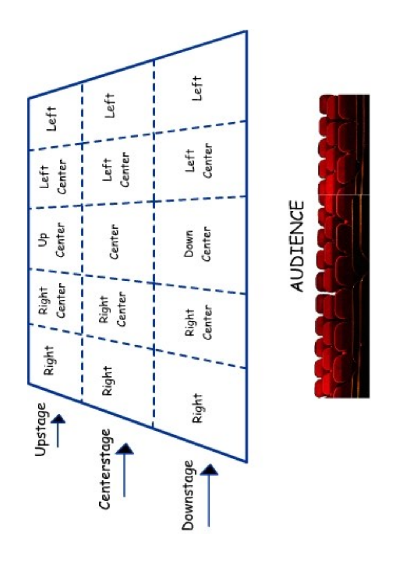



# AUDIENCE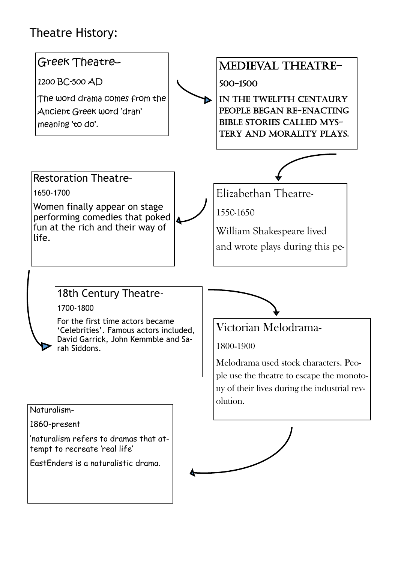## Theatre History:

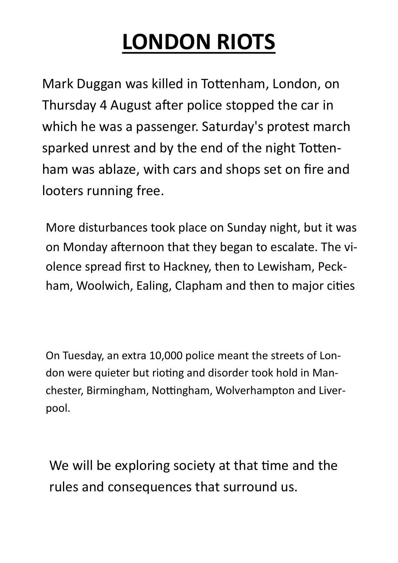## **LONDON RIOTS**

Mark Duggan was killed in Tottenham, London, on Thursday 4 August after police stopped the car in which he was a passenger. Saturday's protest march sparked unrest and by the end of the night Tottenham was ablaze, with cars and shops set on fire and looters running free.

More disturbances took place on Sunday night, but it was on Monday afternoon that they began to escalate. The violence spread first to Hackney, then to Lewisham, Peckham, Woolwich, Ealing, Clapham and then to major cities

On Tuesday, an extra 10,000 police meant the streets of London were quieter but rioting and disorder took hold in Manchester, Birmingham, Nottingham, Wolverhampton and Liverpool.

We will be exploring society at that time and the rules and consequences that surround us.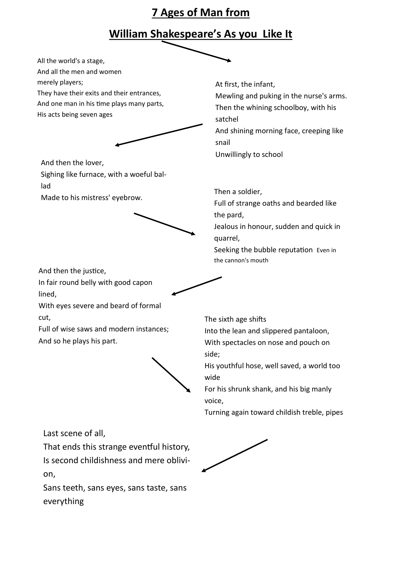#### **7 Ages of Man from**

#### **William Shakespeare's As you Like It**



Last scene of all,

cut,

That ends this strange eventful history, Is second childishness and mere oblivion,

Sans teeth, sans eyes, sans taste, sans everything